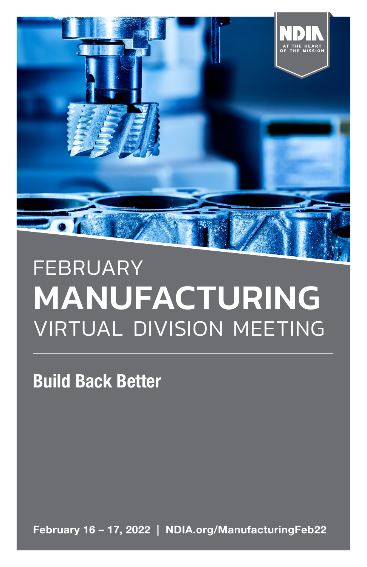

# FEBRUARY MANUFACTURING VIRTUAL DIVISION MEETING

Build Back Better

February 16 – 17, 2022 | NDIA.org/ManufacturingFeb22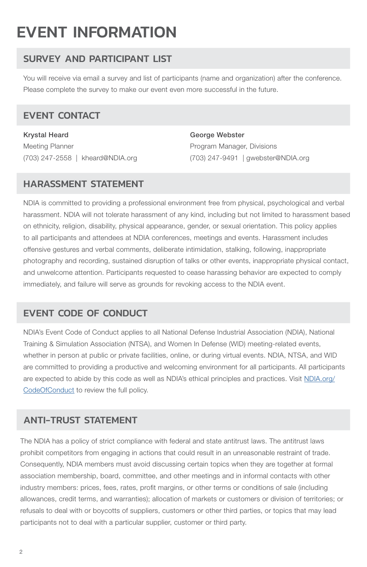## EVENT INFORMATION

## SURVEY AND PARTICIPANT LIST

You will receive via email a survey and list of participants (name and organization) after the conference. Please complete the survey to make our event even more successful in the future.

## EVENT CONTACT

Krystal Heard Meeting Planner (703) 247-2558 | kheard@NDIA.org George Webster Program Manager, Divisions (703) 247-9491 | gwebster@NDIA.org

## HARASSMENT STATEMENT

NDIA is committed to providing a professional environment free from physical, psychological and verbal harassment. NDIA will not tolerate harassment of any kind, including but not limited to harassment based on ethnicity, religion, disability, physical appearance, gender, or sexual orientation. This policy applies to all participants and attendees at NDIA conferences, meetings and events. Harassment includes offensive gestures and verbal comments, deliberate intimidation, stalking, following, inappropriate photography and recording, sustained disruption of talks or other events, inappropriate physical contact, and unwelcome attention. Participants requested to cease harassing behavior are expected to comply immediately, and failure will serve as grounds for revoking access to the NDIA event.

## EVENT CODE OF CONDUCT

NDIA's Event Code of Conduct applies to all National Defense Industrial Association (NDIA), National Training & Simulation Association (NTSA), and Women In Defense (WID) meeting-related events, whether in person at public or private facilities, online, or during virtual events. NDIA, NTSA, and WID are committed to providing a productive and welcoming environment for all participants. All participants are expected to abide by this code as well as NDIA's ethical principles and practices. Visit NDIA.org/ CodeOfConduct to review the full policy.

## ANTI-TRUST STATEMENT

The NDIA has a policy of strict compliance with federal and state antitrust laws. The antitrust laws prohibit competitors from engaging in actions that could result in an unreasonable restraint of trade. Consequently, NDIA members must avoid discussing certain topics when they are together at formal association membership, board, committee, and other meetings and in informal contacts with other industry members: prices, fees, rates, profit margins, or other terms or conditions of sale (including allowances, credit terms, and warranties); allocation of markets or customers or division of territories; or refusals to deal with or boycotts of suppliers, customers or other third parties, or topics that may lead participants not to deal with a particular supplier, customer or third party.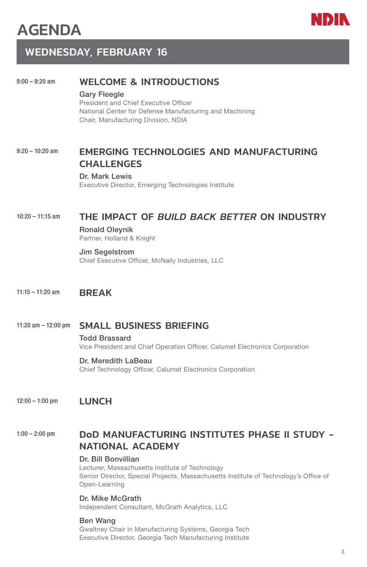



## WEDNESDAY, FEBRUARY 16

### 9:00 – 9:20 am WELCOME & INTRODUCTIONS

## Gary Fleegle

President and Chief Executive Officer National Center for Defense Manufacturing and Machining Chair, Manufacturing Division, NDIA

## 9:20 - 10:20 am **EMERGING TECHNOLOGIES AND MANUFACTURING** CHALLENGES

#### Dr. Mark Lewis

Executive Director, Emerging Technologies Institute

## 10:20 – 11:15 am THE IMPACT OF *BUILD BACK BETTER* ON INDUSTRY

Ronald Oleynik Partner, Holland & Knight

#### Jim Segelstrom

Chief Executive Officer, McNally Industries, LLC

### 11:15 – 11:20 am BRFAK

### 11:20 am – 12:00 pm SMALL BUSINESS BRIEFING

Todd Brassard Vice President and Chief Operation Officer, Calumet Electronics Corporation

#### Dr. Meredith LaBeau

Chief Technology Officer, Calumet Electronics Corporation

## 12:00 – 1:00 pm LUNCH

## 1:00 – 2:00 pm DoD MANUFACTURING INSTITUTES PHASE II STUDY - NATIONAL ACADEMY

#### Dr. Bill Bonvillian

Lecturer, Massachusetts Institute of Technology Senior Director, Special Projects, Massachusetts Institute of Technology's Office of Open-Learning

#### Dr. Mike McGrath

Independent Consultant, McGrath Analytics, LLC

#### Ben Wang

Gwaltney Chair in Manufacturing Systems, Georgia Tech Executive Director, Georgia Tech Manufacturing Institute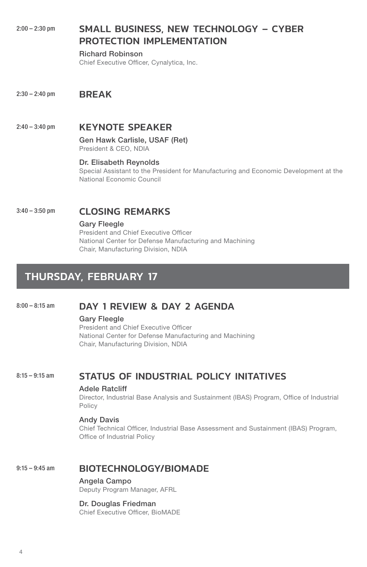## 2:00 – 2:30 pm SMALL BUSINESS, NEW TECHNOLOGY – CYBER PROTECTION IMPLEMENTATION

Richard Robinson Chief Executive Officer, Cynalytica, Inc.

2:30 - 2:40 pm **BREAK** 

## 2:40 – 3:40 pm **KEYNOTE SPEAKER**

Gen Hawk Carlisle, USAF (Ret) President & CEO, NDIA

#### Dr. Elisabeth Reynolds

Special Assistant to the President for Manufacturing and Economic Development at the National Economic Council

## 3:40 - 3:50 pm CLOSING REMARKS

#### Gary Fleegle

President and Chief Executive Officer National Center for Defense Manufacturing and Machining Chair, Manufacturing Division, NDIA

## THURSDAY, FEBRUARY 17

## 8:00 - 8:15 am **DAY 1 REVIEW & DAY 2 AGENDA**

#### Gary Fleegle

President and Chief Executive Officer National Center for Defense Manufacturing and Machining Chair, Manufacturing Division, NDIA

## 8:15-9:15 am STATUS OF INDUSTRIAL POLICY INITATIVES

#### Adele Ratcliff

Director, Industrial Base Analysis and Sustainment (IBAS) Program, Office of Industrial Policy

#### Andy Davis

Chief Technical Officer, Industrial Base Assessment and Sustainment (IBAS) Program, Office of Industrial Policy

## 9:15 – 9:45 am BIOTECHNOLOGY/BIOMADE

Angela Campo Deputy Program Manager, AFRL

#### Dr. Douglas Friedman

Chief Executive Officer, BioMADE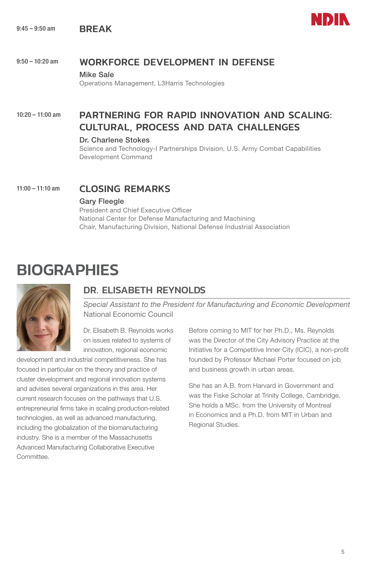9:45 – 9:50 am **BREAK** 



## 9:50 – 10:20 am WORKFORCE DEVELOPMENT IN DEFENSE

#### Mike Sale

Operations Management, L3Harris Technologies

## 10:20 – 11:00 am PARTNERING FOR RAPID INNOVATION AND SCALING: CULTURAL, PROCESS AND DATA CHALLENGES

#### Dr. Charlene Stokes

Science and Technology-I Partnerships Division, U.S. Army Combat Capabilities Development Command

11:00 - 11:10 am CLOSING REMARKS

#### Gary Fleegle

President and Chief Executive Officer National Center for Defense Manufacturing and Machining Chair, Manufacturing Division, National Defense Industrial Association

## **BIOGRAPHIES**



## DR. ELISABETH REYNOLDS

*Special Assistant to the President for Manufacturing and Economic Development* National Economic Council

Dr. Elisabeth B. Reynolds works on issues related to systems of innovation, regional economic

development and industrial competitiveness. She has focused in particular on the theory and practice of cluster development and regional innovation systems and advises several organizations in this area. Her current research focuses on the pathways that U.S. entrepreneurial firms take in scaling production-related technologies, as well as advanced manufacturing, including the globalization of the biomanufacturing industry. She is a member of the Massachusetts Advanced Manufacturing Collaborative Executive Committee.

Before coming to MIT for her Ph.D., Ms. Reynolds was the Director of the City Advisory Practice at the Initiative for a Competitive Inner City (ICIC), a non-profit founded by Professor Michael Porter focused on job and business growth in urban areas.

She has an A.B. from Harvard in Government and was the Fiske Scholar at Trinity College, Cambridge. She holds a MSc. from the University of Montreal in Economics and a Ph.D. from MIT in Urban and Regional Studies.